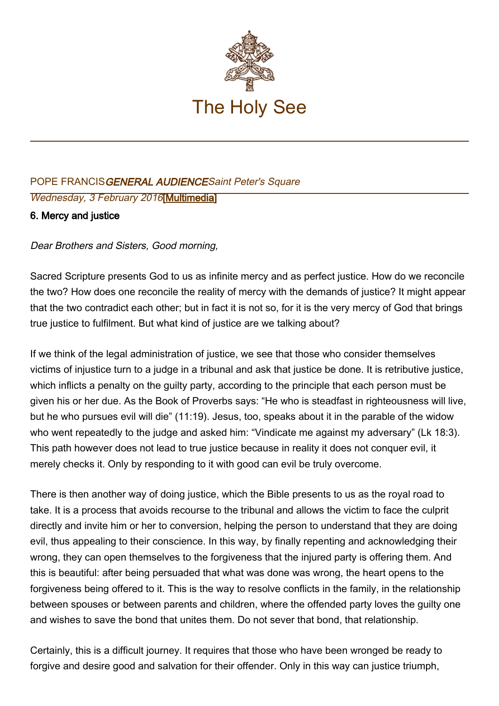

## POPE FRANCISGENERAL AUDIENCESaint Peter's Square Wednesday, 3 February 2016[\[Multimedia](http://w2.vatican.va/content/francesco/en/events/event.dir.html/content/vaticanevents/en/2016/2/3/udienzagenerale.html)]

## 6. Mercy and justice

Dear Brothers and Sisters, Good morning,

Sacred Scripture presents God to us as infinite mercy and as perfect justice. How do we reconcile the two? How does one reconcile the reality of mercy with the demands of justice? It might appear that the two contradict each other; but in fact it is not so, for it is the very mercy of God that brings true justice to fulfilment. But what kind of justice are we talking about?

If we think of the legal administration of justice, we see that those who consider themselves victims of injustice turn to a judge in a tribunal and ask that justice be done. It is retributive justice, which inflicts a penalty on the guilty party, according to the principle that each person must be given his or her due. As the Book of Proverbs says: "He who is steadfast in righteousness will live, but he who pursues evil will die" (11:19). Jesus, too, speaks about it in the parable of the widow who went repeatedly to the judge and asked him: "Vindicate me against my adversary" (Lk 18:3). This path however does not lead to true justice because in reality it does not conquer evil, it merely checks it. Only by responding to it with good can evil be truly overcome.

There is then another way of doing justice, which the Bible presents to us as the royal road to take. It is a process that avoids recourse to the tribunal and allows the victim to face the culprit directly and invite him or her to conversion, helping the person to understand that they are doing evil, thus appealing to their conscience. In this way, by finally repenting and acknowledging their wrong, they can open themselves to the forgiveness that the injured party is offering them. And this is beautiful: after being persuaded that what was done was wrong, the heart opens to the forgiveness being offered to it. This is the way to resolve conflicts in the family, in the relationship between spouses or between parents and children, where the offended party loves the guilty one and wishes to save the bond that unites them. Do not sever that bond, that relationship.

Certainly, this is a difficult journey. It requires that those who have been wronged be ready to forgive and desire good and salvation for their offender. Only in this way can justice triumph,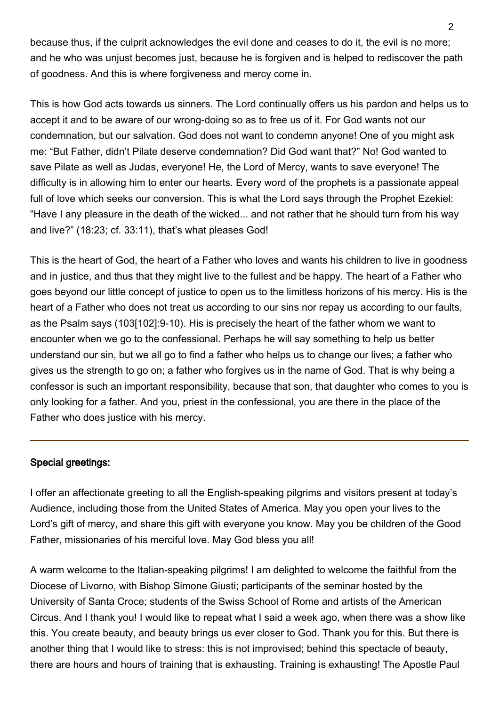because thus, if the culprit acknowledges the evil done and ceases to do it, the evil is no more; and he who was unjust becomes just, because he is forgiven and is helped to rediscover the path of goodness. And this is where forgiveness and mercy come in.

This is how God acts towards us sinners. The Lord continually offers us his pardon and helps us to accept it and to be aware of our wrong-doing so as to free us of it. For God wants not our condemnation, but our salvation. God does not want to condemn anyone! One of you might ask me: "But Father, didn't Pilate deserve condemnation? Did God want that?" No! God wanted to save Pilate as well as Judas, everyone! He, the Lord of Mercy, wants to save everyone! The difficulty is in allowing him to enter our hearts. Every word of the prophets is a passionate appeal full of love which seeks our conversion. This is what the Lord says through the Prophet Ezekiel: "Have I any pleasure in the death of the wicked... and not rather that he should turn from his way and live?" (18:23; cf. 33:11), that's what pleases God!

This is the heart of God, the heart of a Father who loves and wants his children to live in goodness and in justice, and thus that they might live to the fullest and be happy. The heart of a Father who goes beyond our little concept of justice to open us to the limitless horizons of his mercy. His is the heart of a Father who does not treat us according to our sins nor repay us according to our faults, as the Psalm says (103[102]:9-10). His is precisely the heart of the father whom we want to encounter when we go to the confessional. Perhaps he will say something to help us better understand our sin, but we all go to find a father who helps us to change our lives; a father who gives us the strength to go on; a father who forgives us in the name of God. That is why being a confessor is such an important responsibility, because that son, that daughter who comes to you is only looking for a father. And you, priest in the confessional, you are there in the place of the Father who does justice with his mercy.

## Special greetings:

I offer an affectionate greeting to all the English-speaking pilgrims and visitors present at today's Audience, including those from the United States of America. May you open your lives to the Lord's gift of mercy, and share this gift with everyone you know. May you be children of the Good Father, missionaries of his merciful love. May God bless you all!

A warm welcome to the Italian-speaking pilgrims! I am delighted to welcome the faithful from the Diocese of Livorno, with Bishop Simone Giusti; participants of the seminar hosted by the University of Santa Croce; students of the Swiss School of Rome and artists of the American Circus. And I thank you! I would like to repeat what I said a week ago, when there was a show like this. You create beauty, and beauty brings us ever closer to God. Thank you for this. But there is another thing that I would like to stress: this is not improvised; behind this spectacle of beauty, there are hours and hours of training that is exhausting. Training is exhausting! The Apostle Paul